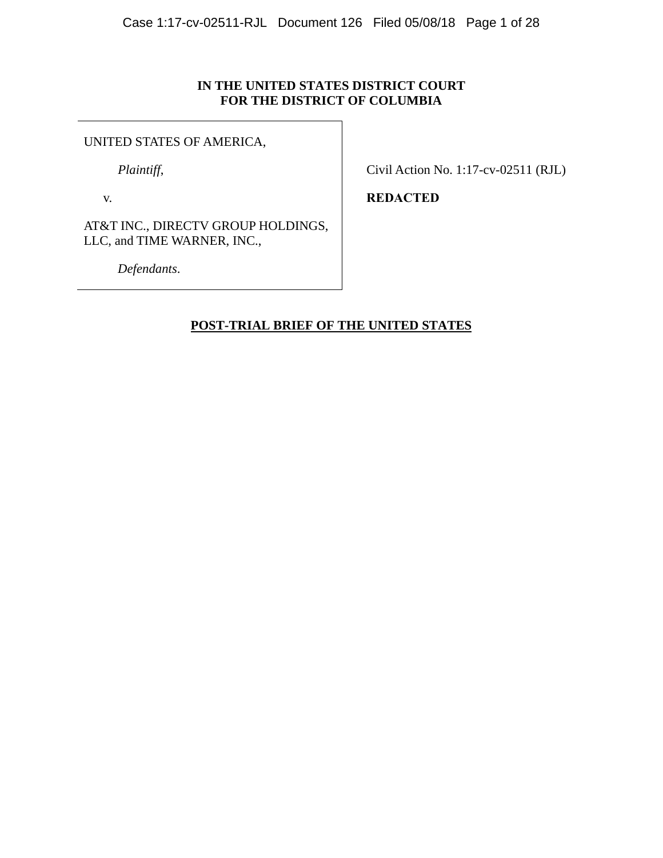## **IN THE UNITED STATES DISTRICT COURT FOR THE DISTRICT OF COLUMBIA**

## UNITED STATES OF AMERICA,

*Plaintiff*,

v.

Civil Action No. 1:17-cv-02511 (RJL)

**REDACTED** 

AT&T INC., DIRECTV GROUP HOLDINGS, LLC, and TIME WARNER, INC.,

*Defendants*.

# **POST-TRIAL BRIEF OF THE UNITED STATES**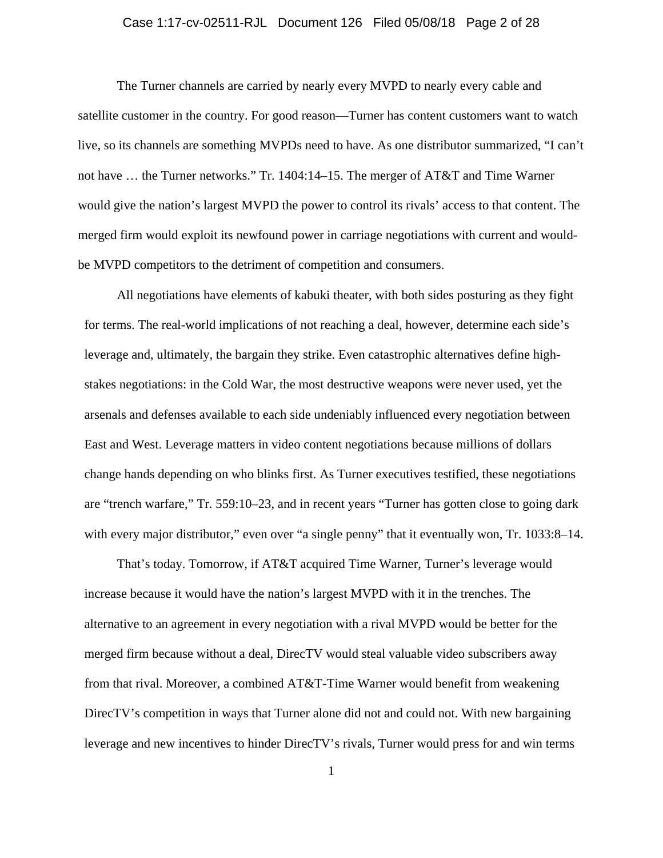### Case 1:17-cv-02511-RJL Document 126 Filed 05/08/18 Page 2 of 28

The Turner channels are carried by nearly every MVPD to nearly every cable and satellite customer in the country. For good reason—Turner has content customers want to watch live, so its channels are something MVPDs need to have. As one distributor summarized, "I can't not have … the Turner networks." Tr. 1404:14–15. The merger of AT&T and Time Warner would give the nation's largest MVPD the power to control its rivals' access to that content. The merged firm would exploit its newfound power in carriage negotiations with current and wouldbe MVPD competitors to the detriment of competition and consumers.

All negotiations have elements of kabuki theater, with both sides posturing as they fight for terms. The real-world implications of not reaching a deal, however, determine each side's leverage and, ultimately, the bargain they strike. Even catastrophic alternatives define highstakes negotiations: in the Cold War, the most destructive weapons were never used, yet the arsenals and defenses available to each side undeniably influenced every negotiation between East and West. Leverage matters in video content negotiations because millions of dollars change hands depending on who blinks first. As Turner executives testified, these negotiations are "trench warfare," Tr. 559:10–23, and in recent years "Turner has gotten close to going dark with every major distributor," even over "a single penny" that it eventually won, Tr. 1033:8–14.

That's today. Tomorrow, if AT&T acquired Time Warner, Turner's leverage would increase because it would have the nation's largest MVPD with it in the trenches. The alternative to an agreement in every negotiation with a rival MVPD would be better for the merged firm because without a deal, DirecTV would steal valuable video subscribers away from that rival. Moreover, a combined AT&T-Time Warner would benefit from weakening DirecTV's competition in ways that Turner alone did not and could not. With new bargaining leverage and new incentives to hinder DirecTV's rivals, Turner would press for and win terms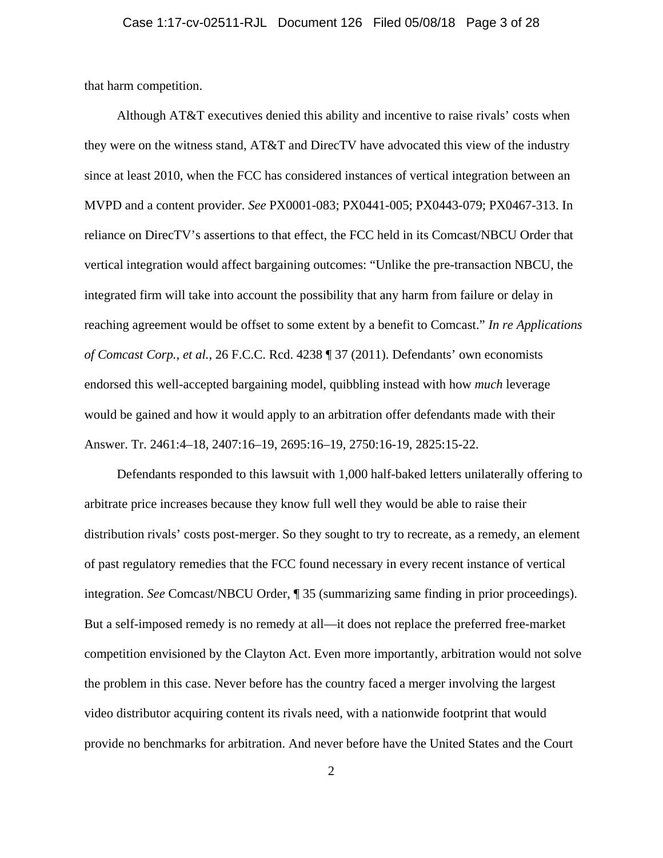that harm competition.

Although AT&T executives denied this ability and incentive to raise rivals' costs when they were on the witness stand, AT&T and DirecTV have advocated this view of the industry since at least 2010, when the FCC has considered instances of vertical integration between an MVPD and a content provider. *See* PX0001-083; PX0441-005; PX0443-079; PX0467-313. In reliance on DirecTV's assertions to that effect, the FCC held in its Comcast/NBCU Order that vertical integration would affect bargaining outcomes: "Unlike the pre-transaction NBCU, the integrated firm will take into account the possibility that any harm from failure or delay in reaching agreement would be offset to some extent by a benefit to Comcast." *In re Applications of Comcast Corp., et al.*, 26 F.C.C. Rcd. 4238 ¶ 37 (2011). Defendants' own economists endorsed this well-accepted bargaining model, quibbling instead with how *much* leverage would be gained and how it would apply to an arbitration offer defendants made with their Answer. Tr. 2461:4–18, 2407:16–19, 2695:16–19, 2750:16-19, 2825:15-22.

Defendants responded to this lawsuit with 1,000 half-baked letters unilaterally offering to arbitrate price increases because they know full well they would be able to raise their distribution rivals' costs post-merger. So they sought to try to recreate, as a remedy, an element of past regulatory remedies that the FCC found necessary in every recent instance of vertical integration. *See* Comcast/NBCU Order, ¶ 35 (summarizing same finding in prior proceedings). But a self-imposed remedy is no remedy at all—it does not replace the preferred free-market competition envisioned by the Clayton Act. Even more importantly, arbitration would not solve the problem in this case. Never before has the country faced a merger involving the largest video distributor acquiring content its rivals need, with a nationwide footprint that would provide no benchmarks for arbitration. And never before have the United States and the Court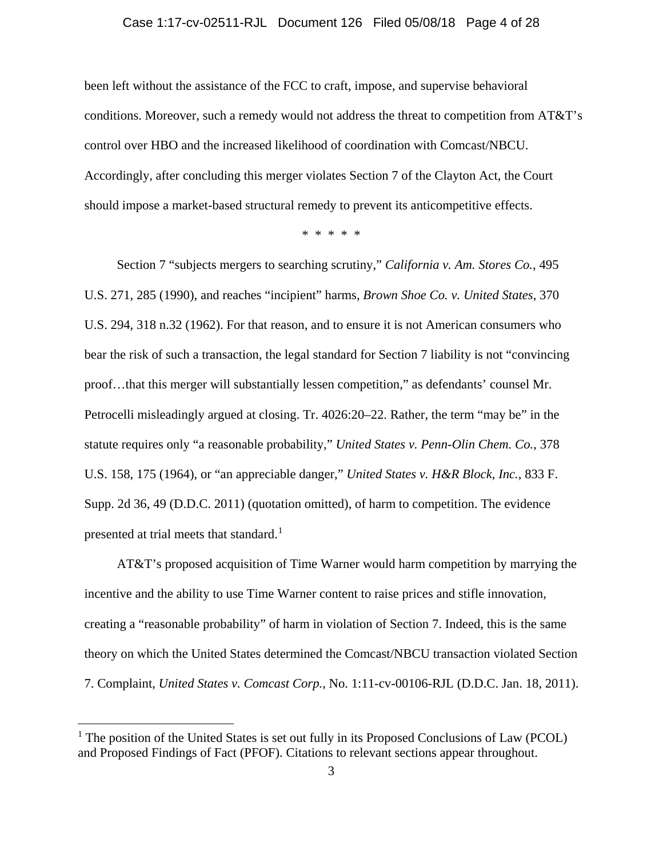#### Case 1:17-cv-02511-RJL Document 126 Filed 05/08/18 Page 4 of 28

been left without the assistance of the FCC to craft, impose, and supervise behavioral conditions. Moreover, such a remedy would not address the threat to competition from AT&T's control over HBO and the increased likelihood of coordination with Comcast/NBCU. Accordingly, after concluding this merger violates Section 7 of the Clayton Act, the Court should impose a market-based structural remedy to prevent its anticompetitive effects.

\* \* \* \* \*

Section 7 "subjects mergers to searching scrutiny," *California v. Am. Stores Co.*, 495 U.S. 271, 285 (1990), and reaches "incipient" harms, *Brown Shoe Co. v. United States*, 370 U.S. 294, 318 n.32 (1962). For that reason, and to ensure it is not American consumers who bear the risk of such a transaction, the legal standard for Section 7 liability is not "convincing proof…that this merger will substantially lessen competition," as defendants' counsel Mr. Petrocelli misleadingly argued at closing. Tr. 4026:20–22. Rather, the term "may be" in the statute requires only "a reasonable probability," *United States v. Penn-Olin Chem. Co.*, 378 U.S. 158, 175 (1964), or "an appreciable danger," *United States v. H&R Block, Inc.*, 833 F. Supp. 2d 36, 49 (D.D.C. 2011) (quotation omitted), of harm to competition. The evidence presented at trial meets that standard.<sup>1</sup>

AT&T's proposed acquisition of Time Warner would harm competition by marrying the incentive and the ability to use Time Warner content to raise prices and stifle innovation, creating a "reasonable probability" of harm in violation of Section 7. Indeed, this is the same theory on which the United States determined the Comcast/NBCU transaction violated Section 7. Complaint, *United States v. Comcast Corp.*, No. 1:11-cv-00106-RJL (D.D.C. Jan. 18, 2011).

<sup>&</sup>lt;sup>1</sup> The position of the United States is set out fully in its Proposed Conclusions of Law (PCOL) and Proposed Findings of Fact (PFOF). Citations to relevant sections appear throughout.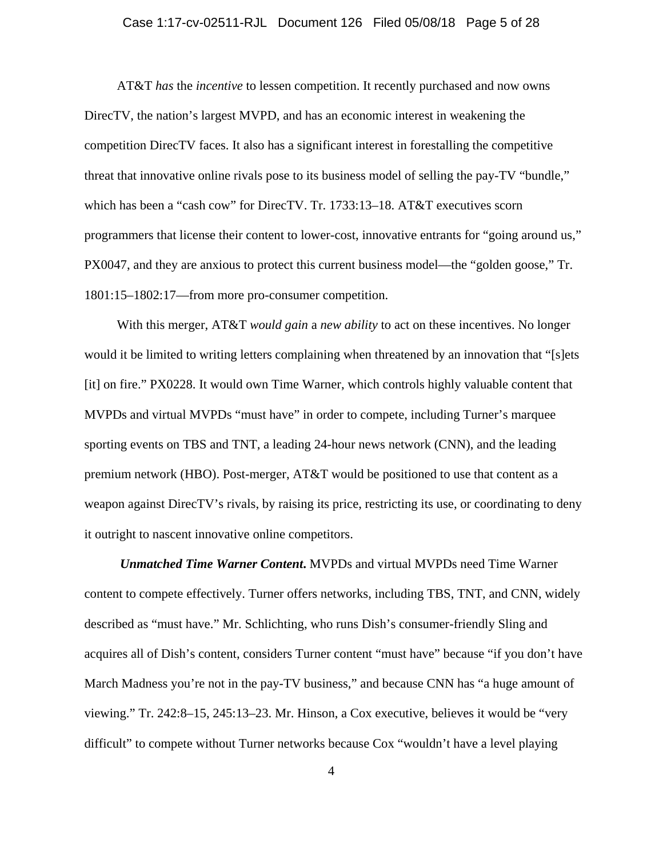#### Case 1:17-cv-02511-RJL Document 126 Filed 05/08/18 Page 5 of 28

AT&T *has* the *incentive* to lessen competition. It recently purchased and now owns DirecTV, the nation's largest MVPD, and has an economic interest in weakening the competition DirecTV faces. It also has a significant interest in forestalling the competitive threat that innovative online rivals pose to its business model of selling the pay-TV "bundle," which has been a "cash cow" for DirecTV. Tr. 1733:13–18. AT&T executives scorn programmers that license their content to lower-cost, innovative entrants for "going around us," PX0047, and they are anxious to protect this current business model—the "golden goose," Tr. 1801:15–1802:17—from more pro-consumer competition.

With this merger, AT&T *would gain* a *new ability* to act on these incentives. No longer would it be limited to writing letters complaining when threatened by an innovation that "[s]ets [it] on fire." PX0228. It would own Time Warner, which controls highly valuable content that MVPDs and virtual MVPDs "must have" in order to compete, including Turner's marquee sporting events on TBS and TNT, a leading 24-hour news network (CNN), and the leading premium network (HBO). Post-merger, AT&T would be positioned to use that content as a weapon against DirecTV's rivals, by raising its price, restricting its use, or coordinating to deny it outright to nascent innovative online competitors.

*Unmatched Time Warner Content***.** MVPDs and virtual MVPDs need Time Warner content to compete effectively. Turner offers networks, including TBS, TNT, and CNN, widely described as "must have." Mr. Schlichting, who runs Dish's consumer-friendly Sling and acquires all of Dish's content, considers Turner content "must have" because "if you don't have March Madness you're not in the pay-TV business," and because CNN has "a huge amount of viewing." Tr. 242:8–15, 245:13–23. Mr. Hinson, a Cox executive, believes it would be "very difficult" to compete without Turner networks because Cox "wouldn't have a level playing

4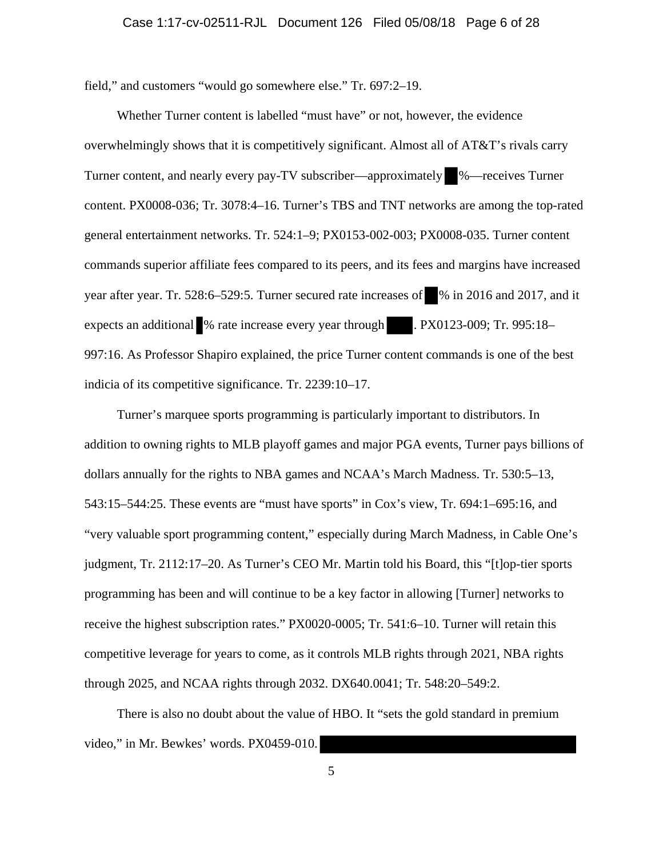field," and customers "would go somewhere else." Tr. 697:2–19.

Whether Turner content is labelled "must have" or not, however, the evidence overwhelmingly shows that it is competitively significant. Almost all of AT&T's rivals carry Turner content, and nearly every pay-TV subscriber—approximately %—receives Turner content. PX0008-036; Tr. 3078:4–16. Turner's TBS and TNT networks are among the top-rated general entertainment networks. Tr. 524:1–9; PX0153-002-003; PX0008-035. Turner content commands superior affiliate fees compared to its peers, and its fees and margins have increased year after year. Tr. 528:6–529:5. Turner secured rate increases of % in 2016 and 2017, and it expects an additional % rate increase every year through . PX0123-009; Tr. 995:18– 997:16. As Professor Shapiro explained, the price Turner content commands is one of the best indicia of its competitive significance. Tr. 2239:10–17.

Turner's marquee sports programming is particularly important to distributors. In addition to owning rights to MLB playoff games and major PGA events, Turner pays billions of dollars annually for the rights to NBA games and NCAA's March Madness. Tr. 530:5–13, 543:15–544:25. These events are "must have sports" in Cox's view, Tr. 694:1–695:16, and "very valuable sport programming content," especially during March Madness, in Cable One's judgment, Tr. 2112:17–20. As Turner's CEO Mr. Martin told his Board, this "[t]op-tier sports programming has been and will continue to be a key factor in allowing [Turner] networks to receive the highest subscription rates." PX0020-0005; Tr. 541:6–10. Turner will retain this competitive leverage for years to come, as it controls MLB rights through 2021, NBA rights through 2025, and NCAA rights through 2032. DX640.0041; Tr. 548:20–549:2.

There is also no doubt about the value of HBO. It "sets the gold standard in premium video," in Mr. Bewkes' words. PX0459-010.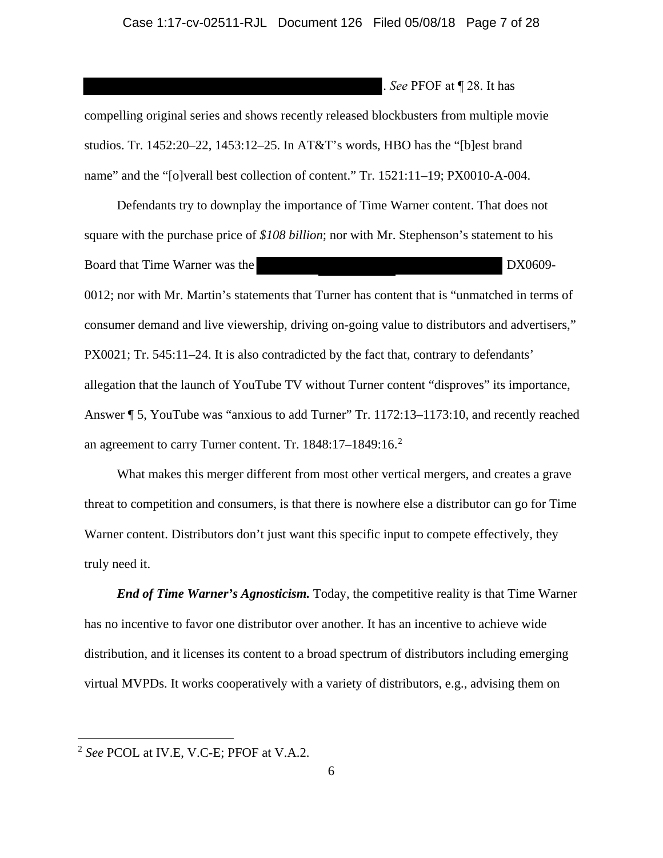. *See* PFOF at ¶ 28. It has

compelling original series and shows recently released blockbusters from multiple movie studios. Tr. 1452:20–22, 1453:12–25. In AT&T's words, HBO has the "[b]est brand name" and the "[o]verall best collection of content." Tr. 1521:11–19; PX0010-A-004.

Defendants try to downplay the importance of Time Warner content. That does not square with the purchase price of *\$108 billion*; nor with Mr. Stephenson's statement to his Board that Time Warner was the DX0609- 0012; nor with Mr. Martin's statements that Turner has content that is "unmatched in terms of consumer demand and live viewership, driving on-going value to distributors and advertisers," PX0021; Tr. 545:11–24. It is also contradicted by the fact that, contrary to defendants' allegation that the launch of YouTube TV without Turner content "disproves" its importance, Answer ¶ 5, YouTube was "anxious to add Turner" Tr. 1172:13–1173:10, and recently reached an agreement to carry Turner content. Tr. 1848:17–1849:16.<sup>2</sup>

What makes this merger different from most other vertical mergers, and creates a grave threat to competition and consumers, is that there is nowhere else a distributor can go for Time Warner content. Distributors don't just want this specific input to compete effectively, they truly need it.

*End of Time Warner's Agnosticism.* Today, the competitive reality is that Time Warner has no incentive to favor one distributor over another. It has an incentive to achieve wide distribution, and it licenses its content to a broad spectrum of distributors including emerging virtual MVPDs. It works cooperatively with a variety of distributors, e.g., advising them on

<sup>2</sup> *See* PCOL at IV.E, V.C-E; PFOF at V.A.2.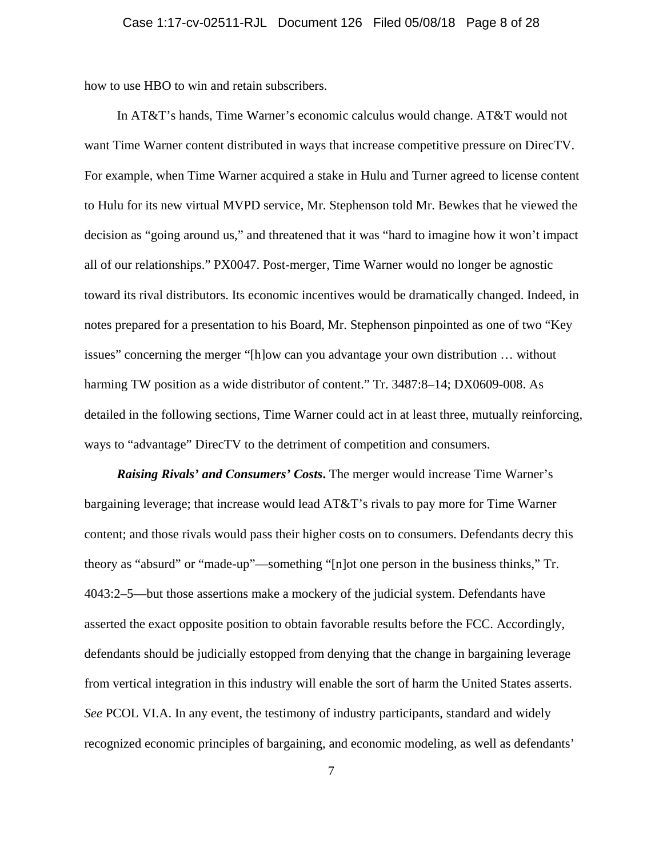how to use HBO to win and retain subscribers.

In AT&T's hands, Time Warner's economic calculus would change. AT&T would not want Time Warner content distributed in ways that increase competitive pressure on DirecTV. For example, when Time Warner acquired a stake in Hulu and Turner agreed to license content to Hulu for its new virtual MVPD service, Mr. Stephenson told Mr. Bewkes that he viewed the decision as "going around us," and threatened that it was "hard to imagine how it won't impact all of our relationships." PX0047. Post-merger, Time Warner would no longer be agnostic toward its rival distributors. Its economic incentives would be dramatically changed. Indeed, in notes prepared for a presentation to his Board, Mr. Stephenson pinpointed as one of two "Key issues" concerning the merger "[h]ow can you advantage your own distribution … without harming TW position as a wide distributor of content." Tr. 3487:8–14; DX0609-008. As detailed in the following sections, Time Warner could act in at least three, mutually reinforcing, ways to "advantage" DirecTV to the detriment of competition and consumers.

*Raising Rivals' and Consumers' Costs***.** The merger would increase Time Warner's bargaining leverage; that increase would lead AT&T's rivals to pay more for Time Warner content; and those rivals would pass their higher costs on to consumers. Defendants decry this theory as "absurd" or "made-up"—something "[n]ot one person in the business thinks," Tr. 4043:2–5—but those assertions make a mockery of the judicial system. Defendants have asserted the exact opposite position to obtain favorable results before the FCC. Accordingly, defendants should be judicially estopped from denying that the change in bargaining leverage from vertical integration in this industry will enable the sort of harm the United States asserts. *See* PCOL VI.A. In any event, the testimony of industry participants, standard and widely recognized economic principles of bargaining, and economic modeling, as well as defendants'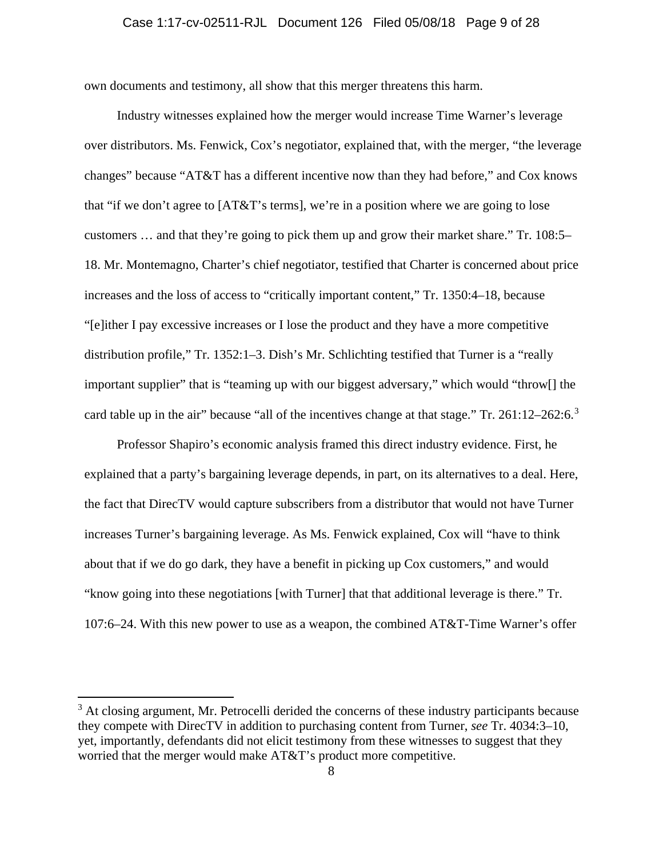#### Case 1:17-cv-02511-RJL Document 126 Filed 05/08/18 Page 9 of 28

own documents and testimony, all show that this merger threatens this harm.

Industry witnesses explained how the merger would increase Time Warner's leverage over distributors. Ms. Fenwick, Cox's negotiator, explained that, with the merger, "the leverage changes" because "AT&T has a different incentive now than they had before," and Cox knows that "if we don't agree to [AT&T's terms], we're in a position where we are going to lose customers … and that they're going to pick them up and grow their market share." Tr. 108:5– 18. Mr. Montemagno, Charter's chief negotiator, testified that Charter is concerned about price increases and the loss of access to "critically important content," Tr. 1350:4–18, because "[e]ither I pay excessive increases or I lose the product and they have a more competitive distribution profile," Tr. 1352:1–3. Dish's Mr. Schlichting testified that Turner is a "really important supplier" that is "teaming up with our biggest adversary," which would "throw[] the card table up in the air" because "all of the incentives change at that stage." Tr.  $261:12-262:6.^3$ 

Professor Shapiro's economic analysis framed this direct industry evidence. First, he explained that a party's bargaining leverage depends, in part, on its alternatives to a deal. Here, the fact that DirecTV would capture subscribers from a distributor that would not have Turner increases Turner's bargaining leverage. As Ms. Fenwick explained, Cox will "have to think about that if we do go dark, they have a benefit in picking up Cox customers," and would "know going into these negotiations [with Turner] that that additional leverage is there." Tr. 107:6–24. With this new power to use as a weapon, the combined AT&T-Time Warner's offer

<sup>&</sup>lt;sup>3</sup> At closing argument, Mr. Petrocelli derided the concerns of these industry participants because they compete with DirecTV in addition to purchasing content from Turner, *see* Tr. 4034:3–10, yet, importantly, defendants did not elicit testimony from these witnesses to suggest that they worried that the merger would make AT&T's product more competitive.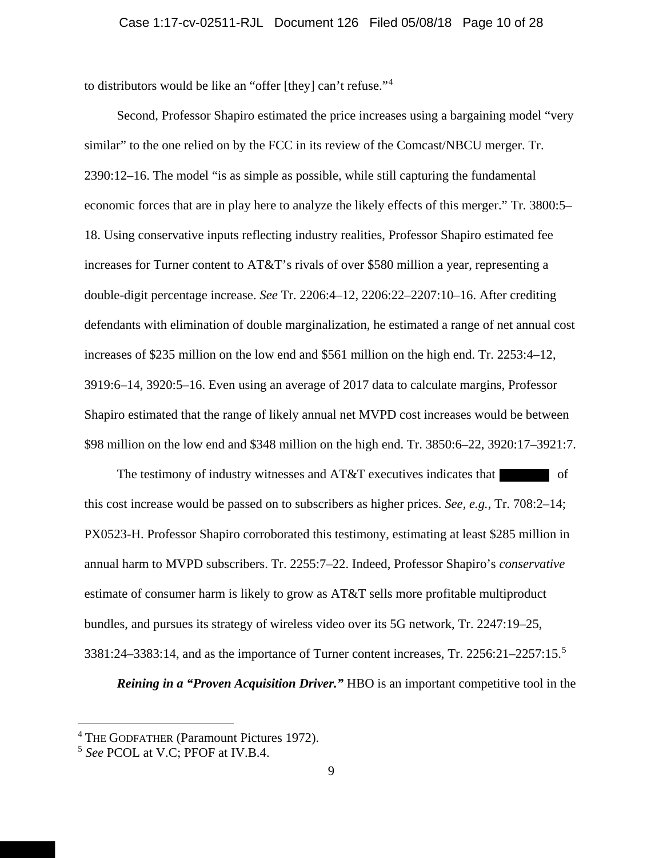to distributors would be like an "offer [they] can't refuse."<sup>4</sup>

Second, Professor Shapiro estimated the price increases using a bargaining model "very similar" to the one relied on by the FCC in its review of the Comcast/NBCU merger. Tr. 2390:12–16. The model "is as simple as possible, while still capturing the fundamental economic forces that are in play here to analyze the likely effects of this merger." Tr. 3800:5– 18. Using conservative inputs reflecting industry realities, Professor Shapiro estimated fee increases for Turner content to AT&T's rivals of over \$580 million a year, representing a double-digit percentage increase. *See* Tr. 2206:4–12, 2206:22–2207:10–16. After crediting defendants with elimination of double marginalization, he estimated a range of net annual cost increases of \$235 million on the low end and \$561 million on the high end. Tr. 2253:4–12, 3919:6–14, 3920:5–16. Even using an average of 2017 data to calculate margins, Professor Shapiro estimated that the range of likely annual net MVPD cost increases would be between \$98 million on the low end and \$348 million on the high end. Tr. 3850:6–22, 3920:17–3921:7.

The testimony of industry witnesses and AT&T executives indicates that of this cost increase would be passed on to subscribers as higher prices. *See, e.g.*, Tr. 708:2–14; PX0523-H. Professor Shapiro corroborated this testimony, estimating at least \$285 million in annual harm to MVPD subscribers. Tr. 2255:7–22. Indeed, Professor Shapiro's *conservative* estimate of consumer harm is likely to grow as AT&T sells more profitable multiproduct bundles, and pursues its strategy of wireless video over its 5G network, Tr. 2247:19–25, 3381:24–3383:14, and as the importance of Turner content increases, Tr. 2256:21–2257:15.<sup>5</sup>

*Reining in a "Proven Acquisition Driver."* HBO is an important competitive tool in the

<sup>4</sup> THE GODFATHER (Paramount Pictures 1972).

<sup>5</sup> *See* PCOL at V.C; PFOF at IV.B.4.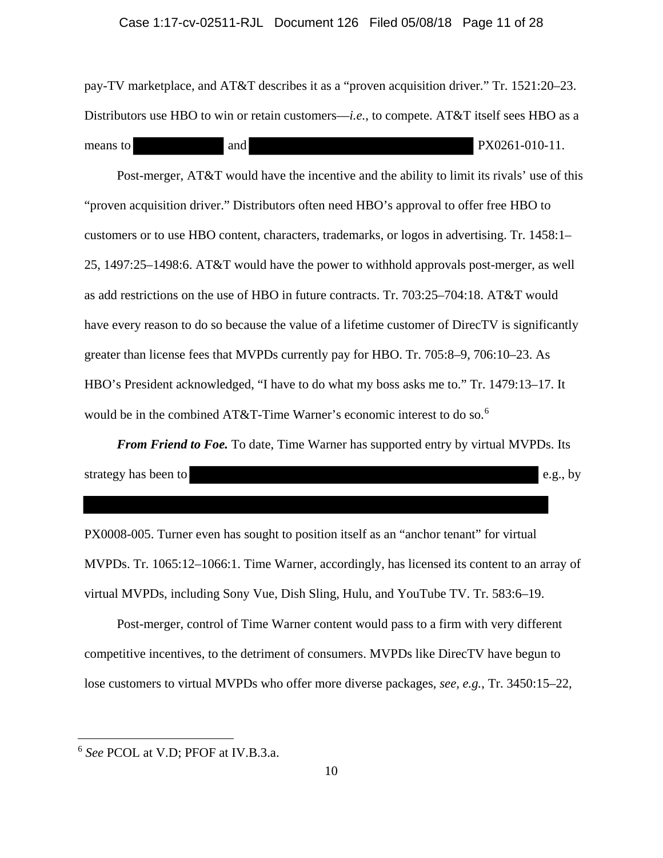#### Case 1:17-cv-02511-RJL Document 126 Filed 05/08/18 Page 11 of 28

pay-TV marketplace, and AT&T describes it as a "proven acquisition driver." Tr. 1521:20–23. Distributors use HBO to win or retain customers—*i.e.*, to compete. AT&T itself sees HBO as a means to and and PX0261-010-11.

Post-merger, AT&T would have the incentive and the ability to limit its rivals' use of this "proven acquisition driver." Distributors often need HBO's approval to offer free HBO to customers or to use HBO content, characters, trademarks, or logos in advertising. Tr. 1458:1– 25, 1497:25–1498:6. AT&T would have the power to withhold approvals post-merger, as well as add restrictions on the use of HBO in future contracts. Tr. 703:25–704:18. AT&T would have every reason to do so because the value of a lifetime customer of DirecTV is significantly greater than license fees that MVPDs currently pay for HBO. Tr. 705:8–9, 706:10–23. As HBO's President acknowledged, "I have to do what my boss asks me to." Tr. 1479:13–17. It would be in the combined AT&T-Time Warner's economic interest to do so.<sup>6</sup>

*From Friend to Foe.* To date, Time Warner has supported entry by virtual MVPDs. Its strategy has been to e.g., by

PX0008-005. Turner even has sought to position itself as an "anchor tenant" for virtual MVPDs. Tr. 1065:12–1066:1. Time Warner, accordingly, has licensed its content to an array of virtual MVPDs, including Sony Vue, Dish Sling, Hulu, and YouTube TV. Tr. 583:6–19.

Post-merger, control of Time Warner content would pass to a firm with very different competitive incentives, to the detriment of consumers. MVPDs like DirecTV have begun to lose customers to virtual MVPDs who offer more diverse packages, *see, e.g.*, Tr. 3450:15–22,

<sup>6</sup> *See* PCOL at V.D; PFOF at IV.B.3.a.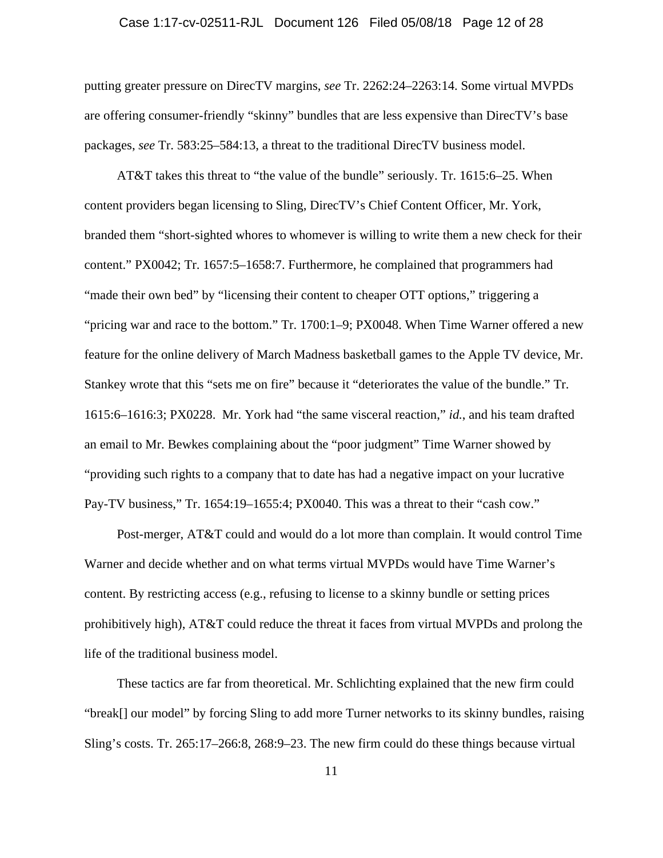## Case 1:17-cv-02511-RJL Document 126 Filed 05/08/18 Page 12 of 28

putting greater pressure on DirecTV margins, *see* Tr. 2262:24–2263:14. Some virtual MVPDs are offering consumer-friendly "skinny" bundles that are less expensive than DirecTV's base packages, *see* Tr. 583:25–584:13, a threat to the traditional DirecTV business model.

AT&T takes this threat to "the value of the bundle" seriously. Tr. 1615:6–25. When content providers began licensing to Sling, DirecTV's Chief Content Officer, Mr. York, branded them "short-sighted whores to whomever is willing to write them a new check for their content." PX0042; Tr. 1657:5–1658:7. Furthermore, he complained that programmers had "made their own bed" by "licensing their content to cheaper OTT options," triggering a "pricing war and race to the bottom." Tr. 1700:1–9; PX0048. When Time Warner offered a new feature for the online delivery of March Madness basketball games to the Apple TV device, Mr. Stankey wrote that this "sets me on fire" because it "deteriorates the value of the bundle." Tr. 1615:6–1616:3; PX0228. Mr. York had "the same visceral reaction," *id.*, and his team drafted an email to Mr. Bewkes complaining about the "poor judgment" Time Warner showed by "providing such rights to a company that to date has had a negative impact on your lucrative Pay-TV business," Tr. 1654:19–1655:4; PX0040. This was a threat to their "cash cow."

Post-merger, AT&T could and would do a lot more than complain. It would control Time Warner and decide whether and on what terms virtual MVPDs would have Time Warner's content. By restricting access (e.g., refusing to license to a skinny bundle or setting prices prohibitively high), AT&T could reduce the threat it faces from virtual MVPDs and prolong the life of the traditional business model.

These tactics are far from theoretical. Mr. Schlichting explained that the new firm could "break[] our model" by forcing Sling to add more Turner networks to its skinny bundles, raising Sling's costs. Tr. 265:17–266:8, 268:9–23. The new firm could do these things because virtual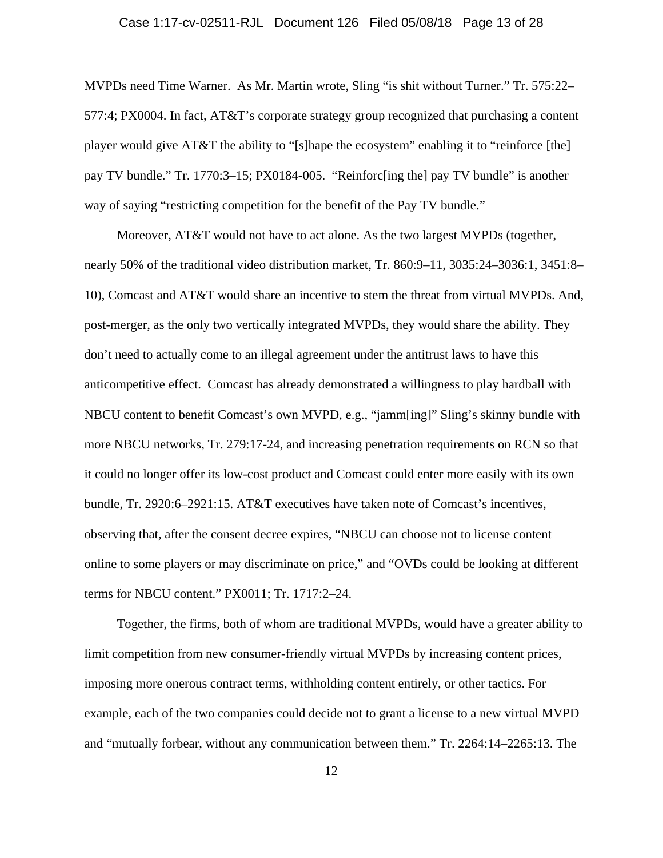## Case 1:17-cv-02511-RJL Document 126 Filed 05/08/18 Page 13 of 28

MVPDs need Time Warner. As Mr. Martin wrote, Sling "is shit without Turner." Tr. 575:22– 577:4; PX0004. In fact, AT&T's corporate strategy group recognized that purchasing a content player would give AT&T the ability to "[s]hape the ecosystem" enabling it to "reinforce [the] pay TV bundle." Tr. 1770:3–15; PX0184-005. "Reinforc[ing the] pay TV bundle" is another way of saying "restricting competition for the benefit of the Pay TV bundle."

Moreover, AT&T would not have to act alone. As the two largest MVPDs (together, nearly 50% of the traditional video distribution market, Tr. 860:9–11, 3035:24–3036:1, 3451:8– 10), Comcast and AT&T would share an incentive to stem the threat from virtual MVPDs. And, post-merger, as the only two vertically integrated MVPDs, they would share the ability. They don't need to actually come to an illegal agreement under the antitrust laws to have this anticompetitive effect. Comcast has already demonstrated a willingness to play hardball with NBCU content to benefit Comcast's own MVPD, e.g., "jamm[ing]" Sling's skinny bundle with more NBCU networks, Tr. 279:17-24, and increasing penetration requirements on RCN so that it could no longer offer its low-cost product and Comcast could enter more easily with its own bundle, Tr. 2920:6–2921:15. AT&T executives have taken note of Comcast's incentives, observing that, after the consent decree expires, "NBCU can choose not to license content online to some players or may discriminate on price," and "OVDs could be looking at different terms for NBCU content." PX0011; Tr. 1717:2–24.

Together, the firms, both of whom are traditional MVPDs, would have a greater ability to limit competition from new consumer-friendly virtual MVPDs by increasing content prices, imposing more onerous contract terms, withholding content entirely, or other tactics. For example, each of the two companies could decide not to grant a license to a new virtual MVPD and "mutually forbear, without any communication between them." Tr. 2264:14–2265:13. The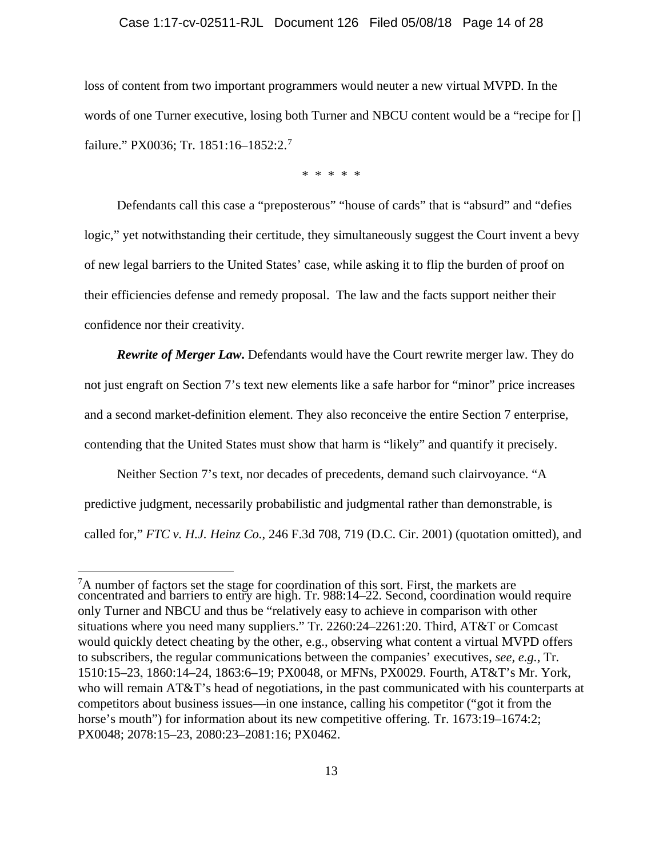#### Case 1:17-cv-02511-RJL Document 126 Filed 05/08/18 Page 14 of 28

loss of content from two important programmers would neuter a new virtual MVPD. In the words of one Turner executive, losing both Turner and NBCU content would be a "recipe for [] failure." PX0036; Tr. 1851:16-1852:2.<sup>7</sup>

\* \* \* \* \*

Defendants call this case a "preposterous" "house of cards" that is "absurd" and "defies logic," yet notwithstanding their certitude, they simultaneously suggest the Court invent a bevy of new legal barriers to the United States' case, while asking it to flip the burden of proof on their efficiencies defense and remedy proposal. The law and the facts support neither their confidence nor their creativity.

*Rewrite of Merger Law***.** Defendants would have the Court rewrite merger law. They do not just engraft on Section 7's text new elements like a safe harbor for "minor" price increases and a second market-definition element. They also reconceive the entire Section 7 enterprise, contending that the United States must show that harm is "likely" and quantify it precisely.

Neither Section 7's text, nor decades of precedents, demand such clairvoyance. "A predictive judgment, necessarily probabilistic and judgmental rather than demonstrable, is called for," *FTC v. H.J. Heinz Co.*, 246 F.3d 708, 719 (D.C. Cir. 2001) (quotation omitted), and

 $7A$  number of factors set the stage for coordination of this sort. First, the markets are concentrated and barriers to entry are high. Tr. 988:14–22. Second, coordination would require only Turner and NBCU and thus be "relatively easy to achieve in comparison with other situations where you need many suppliers." Tr. 2260:24–2261:20. Third, AT&T or Comcast would quickly detect cheating by the other, e.g., observing what content a virtual MVPD offers to subscribers, the regular communications between the companies' executives, *see, e.g.*, Tr. 1510:15–23, 1860:14–24, 1863:6–19; PX0048, or MFNs, PX0029. Fourth, AT&T's Mr. York, who will remain AT&T's head of negotiations, in the past communicated with his counterparts at competitors about business issues—in one instance, calling his competitor ("got it from the horse's mouth") for information about its new competitive offering. Tr. 1673:19–1674:2; PX0048; 2078:15–23, 2080:23–2081:16; PX0462.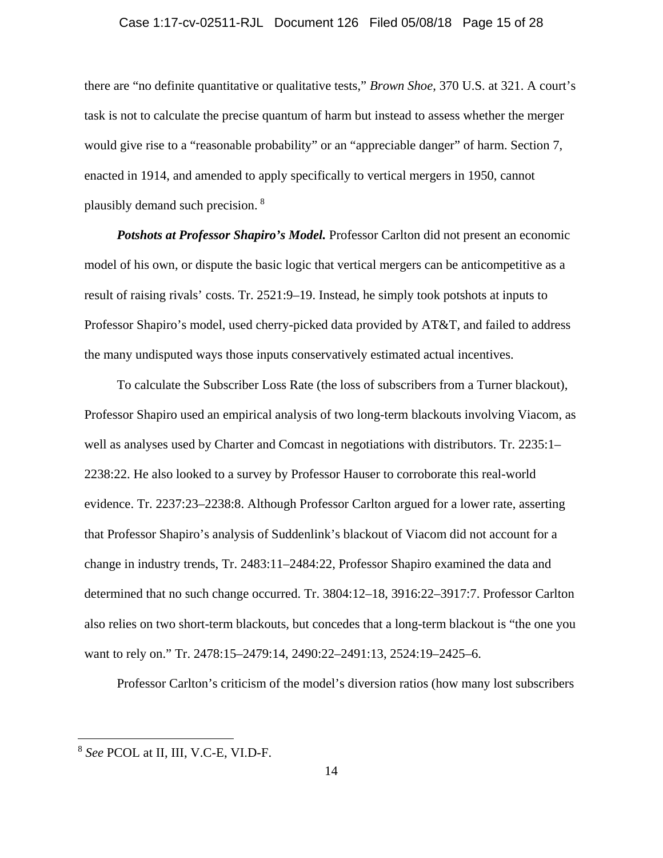## Case 1:17-cv-02511-RJL Document 126 Filed 05/08/18 Page 15 of 28

there are "no definite quantitative or qualitative tests," *Brown Shoe*, 370 U.S. at 321. A court's task is not to calculate the precise quantum of harm but instead to assess whether the merger would give rise to a "reasonable probability" or an "appreciable danger" of harm. Section 7, enacted in 1914, and amended to apply specifically to vertical mergers in 1950, cannot plausibly demand such precision. <sup>8</sup>

*Potshots at Professor Shapiro's Model.* Professor Carlton did not present an economic model of his own, or dispute the basic logic that vertical mergers can be anticompetitive as a result of raising rivals' costs. Tr. 2521:9–19. Instead, he simply took potshots at inputs to Professor Shapiro's model, used cherry-picked data provided by AT&T, and failed to address the many undisputed ways those inputs conservatively estimated actual incentives.

To calculate the Subscriber Loss Rate (the loss of subscribers from a Turner blackout), Professor Shapiro used an empirical analysis of two long-term blackouts involving Viacom, as well as analyses used by Charter and Comcast in negotiations with distributors. Tr. 2235:1– 2238:22. He also looked to a survey by Professor Hauser to corroborate this real-world evidence. Tr. 2237:23–2238:8. Although Professor Carlton argued for a lower rate, asserting that Professor Shapiro's analysis of Suddenlink's blackout of Viacom did not account for a change in industry trends, Tr. 2483:11–2484:22, Professor Shapiro examined the data and determined that no such change occurred. Tr. 3804:12–18, 3916:22–3917:7. Professor Carlton also relies on two short-term blackouts, but concedes that a long-term blackout is "the one you want to rely on." Tr. 2478:15–2479:14, 2490:22–2491:13, 2524:19–2425–6.

Professor Carlton's criticism of the model's diversion ratios (how many lost subscribers

<sup>8</sup> *See* PCOL at II, III, V.C-E, VI.D-F.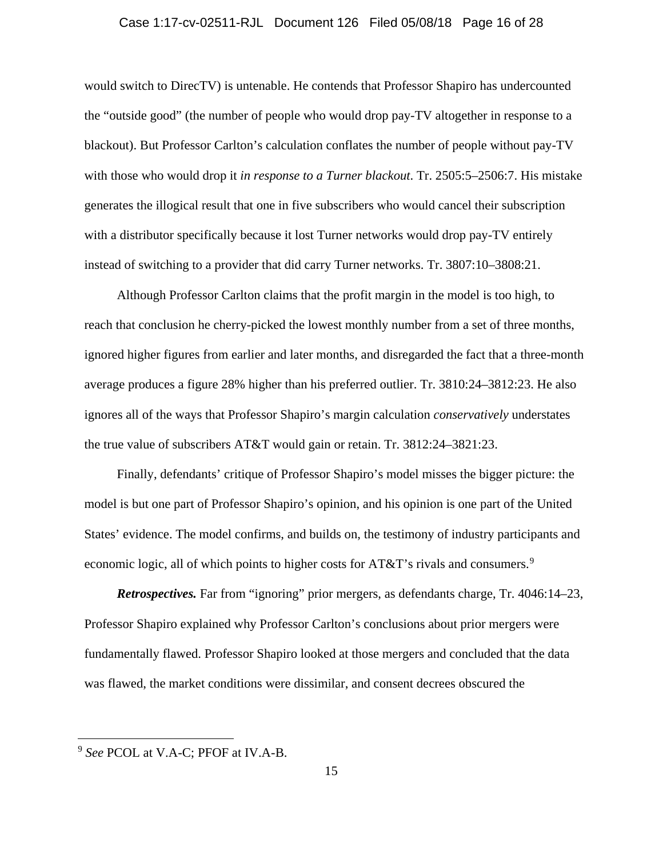### Case 1:17-cv-02511-RJL Document 126 Filed 05/08/18 Page 16 of 28

would switch to DirecTV) is untenable. He contends that Professor Shapiro has undercounted the "outside good" (the number of people who would drop pay-TV altogether in response to a blackout). But Professor Carlton's calculation conflates the number of people without pay-TV with those who would drop it *in response to a Turner blackout*. Tr. 2505:5–2506:7. His mistake generates the illogical result that one in five subscribers who would cancel their subscription with a distributor specifically because it lost Turner networks would drop pay-TV entirely instead of switching to a provider that did carry Turner networks. Tr. 3807:10–3808:21.

Although Professor Carlton claims that the profit margin in the model is too high, to reach that conclusion he cherry-picked the lowest monthly number from a set of three months, ignored higher figures from earlier and later months, and disregarded the fact that a three-month average produces a figure 28% higher than his preferred outlier. Tr. 3810:24–3812:23. He also ignores all of the ways that Professor Shapiro's margin calculation *conservatively* understates the true value of subscribers AT&T would gain or retain. Tr. 3812:24–3821:23.

Finally, defendants' critique of Professor Shapiro's model misses the bigger picture: the model is but one part of Professor Shapiro's opinion, and his opinion is one part of the United States' evidence. The model confirms, and builds on, the testimony of industry participants and economic logic, all of which points to higher costs for AT&T's rivals and consumers.<sup>9</sup>

*Retrospectives.* Far from "ignoring" prior mergers, as defendants charge, Tr. 4046:14–23, Professor Shapiro explained why Professor Carlton's conclusions about prior mergers were fundamentally flawed. Professor Shapiro looked at those mergers and concluded that the data was flawed, the market conditions were dissimilar, and consent decrees obscured the

<sup>9</sup> *See* PCOL at V.A-C; PFOF at IV.A-B.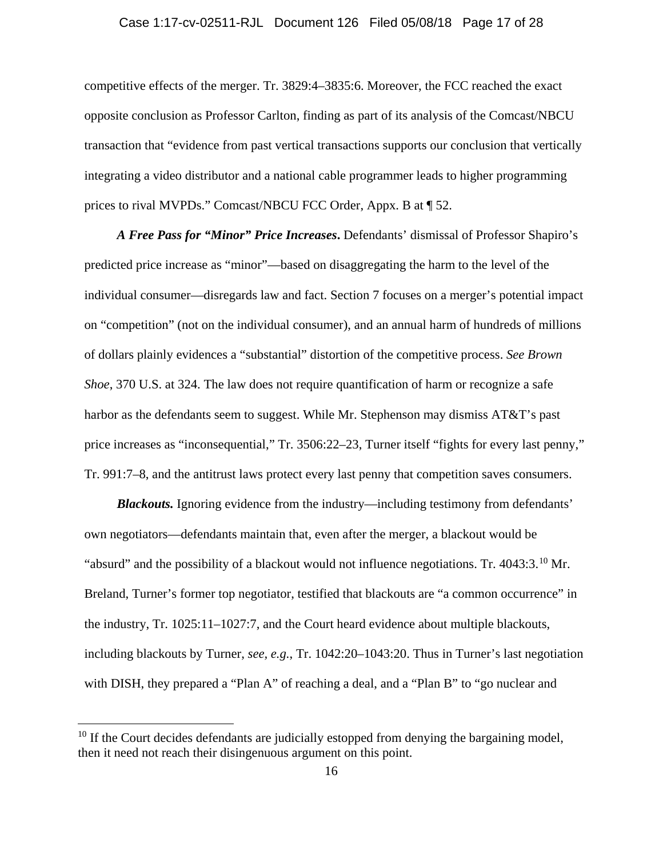### Case 1:17-cv-02511-RJL Document 126 Filed 05/08/18 Page 17 of 28

competitive effects of the merger. Tr. 3829:4–3835:6. Moreover, the FCC reached the exact opposite conclusion as Professor Carlton, finding as part of its analysis of the Comcast/NBCU transaction that "evidence from past vertical transactions supports our conclusion that vertically integrating a video distributor and a national cable programmer leads to higher programming prices to rival MVPDs." Comcast/NBCU FCC Order, Appx. B at ¶ 52.

*A Free Pass for "Minor" Price Increases***.** Defendants' dismissal of Professor Shapiro's predicted price increase as "minor"—based on disaggregating the harm to the level of the individual consumer—disregards law and fact. Section 7 focuses on a merger's potential impact on "competition" (not on the individual consumer), and an annual harm of hundreds of millions of dollars plainly evidences a "substantial" distortion of the competitive process. *See Brown Shoe*, 370 U.S. at 324. The law does not require quantification of harm or recognize a safe harbor as the defendants seem to suggest. While Mr. Stephenson may dismiss AT&T's past price increases as "inconsequential," Tr. 3506:22–23, Turner itself "fights for every last penny," Tr. 991:7–8, and the antitrust laws protect every last penny that competition saves consumers.

**Blackouts.** Ignoring evidence from the industry—including testimony from defendants' own negotiators—defendants maintain that, even after the merger, a blackout would be "absurd" and the possibility of a blackout would not influence negotiations. Tr. 4043:3.<sup>10</sup> Mr. Breland, Turner's former top negotiator, testified that blackouts are "a common occurrence" in the industry, Tr. 1025:11–1027:7, and the Court heard evidence about multiple blackouts, including blackouts by Turner, *see, e.g.*, Tr. 1042:20–1043:20. Thus in Turner's last negotiation with DISH, they prepared a "Plan A" of reaching a deal, and a "Plan B" to "go nuclear and

 $10$  If the Court decides defendants are judicially estopped from denying the bargaining model, then it need not reach their disingenuous argument on this point.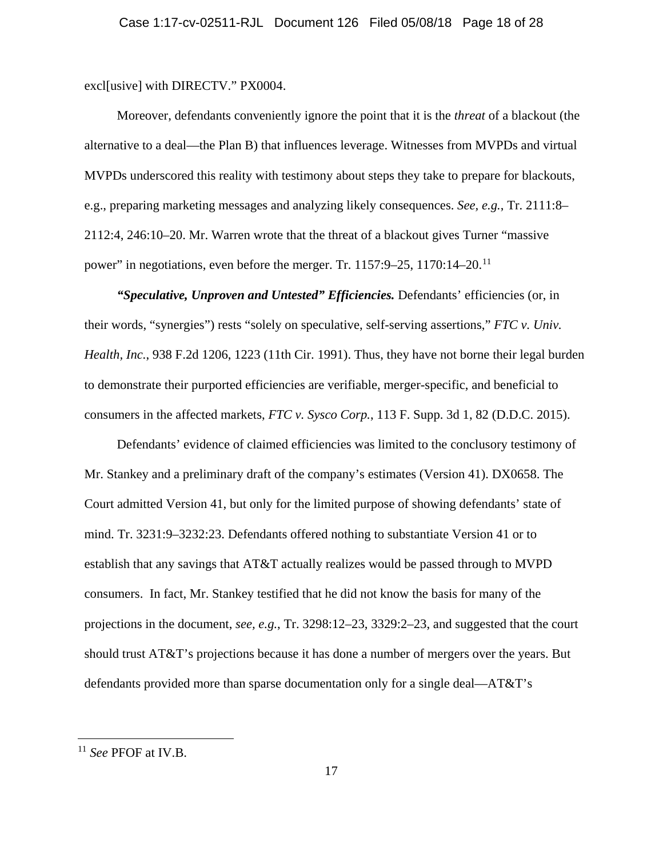excl[usive] with DIRECTV." PX0004.

Moreover, defendants conveniently ignore the point that it is the *threat* of a blackout (the alternative to a deal—the Plan B) that influences leverage. Witnesses from MVPDs and virtual MVPDs underscored this reality with testimony about steps they take to prepare for blackouts, e.g., preparing marketing messages and analyzing likely consequences. *See, e.g.*, Tr. 2111:8– 2112:4, 246:10–20. Mr. Warren wrote that the threat of a blackout gives Turner "massive power" in negotiations, even before the merger. Tr. 1157:9–25, 1170:14–20.11

*"Speculative, Unproven and Untested" Efficiencies.* Defendants' efficiencies (or, in their words, "synergies") rests "solely on speculative, self-serving assertions," *FTC v. Univ. Health, Inc.*, 938 F.2d 1206, 1223 (11th Cir. 1991). Thus, they have not borne their legal burden to demonstrate their purported efficiencies are verifiable, merger-specific, and beneficial to consumers in the affected markets, *FTC v. Sysco Corp.*, 113 F. Supp. 3d 1, 82 (D.D.C. 2015).

Defendants' evidence of claimed efficiencies was limited to the conclusory testimony of Mr. Stankey and a preliminary draft of the company's estimates (Version 41). DX0658. The Court admitted Version 41, but only for the limited purpose of showing defendants' state of mind. Tr. 3231:9–3232:23. Defendants offered nothing to substantiate Version 41 or to establish that any savings that AT&T actually realizes would be passed through to MVPD consumers. In fact, Mr. Stankey testified that he did not know the basis for many of the projections in the document, *see, e.g.*, Tr. 3298:12–23, 3329:2–23, and suggested that the court should trust AT&T's projections because it has done a number of mergers over the years. But defendants provided more than sparse documentation only for a single deal—AT&T's

<sup>11</sup> *See* PFOF at IV.B.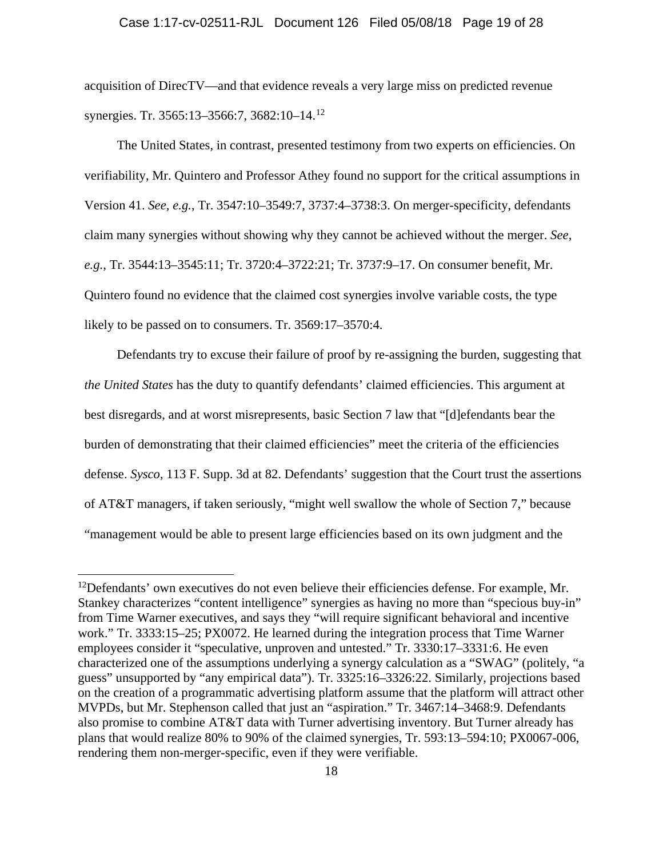acquisition of DirecTV—and that evidence reveals a very large miss on predicted revenue synergies. Tr. 3565:13–3566:7, 3682:10–14.<sup>12</sup>

The United States, in contrast, presented testimony from two experts on efficiencies. On verifiability, Mr. Quintero and Professor Athey found no support for the critical assumptions in Version 41. *See, e.g.*, Tr. 3547:10–3549:7, 3737:4–3738:3. On merger-specificity, defendants claim many synergies without showing why they cannot be achieved without the merger. *See, e.g.*, Tr. 3544:13–3545:11; Tr. 3720:4–3722:21; Tr. 3737:9–17. On consumer benefit, Mr. Quintero found no evidence that the claimed cost synergies involve variable costs, the type likely to be passed on to consumers. Tr. 3569:17–3570:4.

Defendants try to excuse their failure of proof by re-assigning the burden, suggesting that *the United States* has the duty to quantify defendants' claimed efficiencies. This argument at best disregards, and at worst misrepresents, basic Section 7 law that "[d]efendants bear the burden of demonstrating that their claimed efficiencies" meet the criteria of the efficiencies defense. *Sysco*, 113 F. Supp. 3d at 82. Defendants' suggestion that the Court trust the assertions of AT&T managers, if taken seriously, "might well swallow the whole of Section 7," because "management would be able to present large efficiencies based on its own judgment and the

 $12$ Defendants' own executives do not even believe their efficiencies defense. For example, Mr. Stankey characterizes "content intelligence" synergies as having no more than "specious buy-in" from Time Warner executives, and says they "will require significant behavioral and incentive work." Tr. 3333:15–25; PX0072. He learned during the integration process that Time Warner employees consider it "speculative, unproven and untested." Tr. 3330:17–3331:6. He even characterized one of the assumptions underlying a synergy calculation as a "SWAG" (politely, "a guess" unsupported by "any empirical data"). Tr. 3325:16–3326:22. Similarly, projections based on the creation of a programmatic advertising platform assume that the platform will attract other MVPDs, but Mr. Stephenson called that just an "aspiration." Tr. 3467:14–3468:9. Defendants also promise to combine AT&T data with Turner advertising inventory. But Turner already has plans that would realize 80% to 90% of the claimed synergies, Tr. 593:13–594:10; PX0067-006, rendering them non-merger-specific, even if they were verifiable.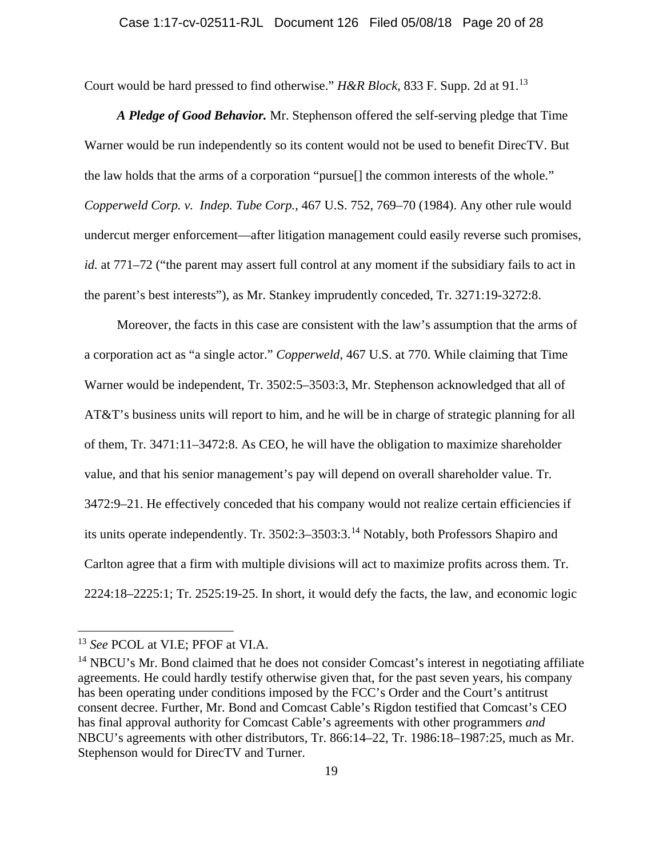Court would be hard pressed to find otherwise." *H&R Block*, 833 F. Supp. 2d at 91.<sup>13</sup>

*A Pledge of Good Behavior.* Mr. Stephenson offered the self-serving pledge that Time Warner would be run independently so its content would not be used to benefit DirecTV. But the law holds that the arms of a corporation "pursue[] the common interests of the whole." *Copperweld Corp. v. Indep. Tube Corp.*, 467 U.S. 752, 769–70 (1984). Any other rule would undercut merger enforcement—after litigation management could easily reverse such promises, *id.* at 771–72 ("the parent may assert full control at any moment if the subsidiary fails to act in the parent's best interests"), as Mr. Stankey imprudently conceded, Tr. 3271:19-3272:8.

Moreover, the facts in this case are consistent with the law's assumption that the arms of a corporation act as "a single actor." *Copperweld*, 467 U.S. at 770. While claiming that Time Warner would be independent, Tr. 3502:5–3503:3, Mr. Stephenson acknowledged that all of AT&T's business units will report to him, and he will be in charge of strategic planning for all of them, Tr. 3471:11–3472:8. As CEO, he will have the obligation to maximize shareholder value, and that his senior management's pay will depend on overall shareholder value. Tr. 3472:9–21. He effectively conceded that his company would not realize certain efficiencies if its units operate independently. Tr. 3502:3–3503:3.<sup>14</sup> Notably, both Professors Shapiro and Carlton agree that a firm with multiple divisions will act to maximize profits across them. Tr. 2224:18–2225:1; Tr. 2525:19-25. In short, it would defy the facts, the law, and economic logic

<sup>13</sup> *See* PCOL at VI.E; PFOF at VI.A.

<sup>&</sup>lt;sup>14</sup> NBCU's Mr. Bond claimed that he does not consider Comcast's interest in negotiating affiliate agreements. He could hardly testify otherwise given that, for the past seven years, his company has been operating under conditions imposed by the FCC's Order and the Court's antitrust consent decree. Further, Mr. Bond and Comcast Cable's Rigdon testified that Comcast's CEO has final approval authority for Comcast Cable's agreements with other programmers *and* NBCU's agreements with other distributors, Tr. 866:14–22, Tr. 1986:18–1987:25, much as Mr. Stephenson would for DirecTV and Turner.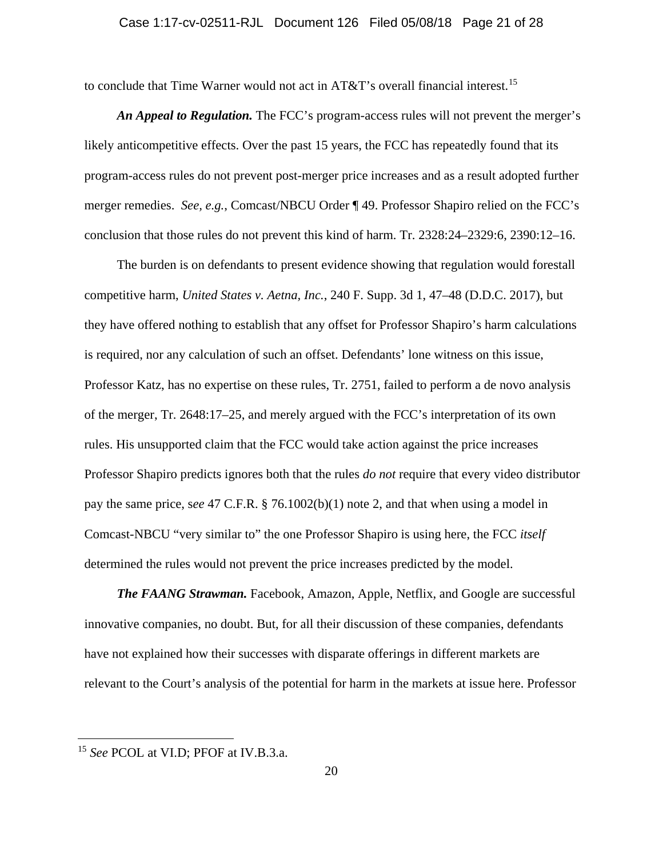### Case 1:17-cv-02511-RJL Document 126 Filed 05/08/18 Page 21 of 28

to conclude that Time Warner would not act in AT&T's overall financial interest.<sup>15</sup>

*An Appeal to Regulation.* The FCC's program-access rules will not prevent the merger's likely anticompetitive effects. Over the past 15 years, the FCC has repeatedly found that its program-access rules do not prevent post-merger price increases and as a result adopted further merger remedies. *See, e.g.*, Comcast/NBCU Order ¶ 49. Professor Shapiro relied on the FCC's conclusion that those rules do not prevent this kind of harm. Tr. 2328:24–2329:6, 2390:12–16.

The burden is on defendants to present evidence showing that regulation would forestall competitive harm, *United States v. Aetna, Inc.*, 240 F. Supp. 3d 1, 47–48 (D.D.C. 2017), but they have offered nothing to establish that any offset for Professor Shapiro's harm calculations is required, nor any calculation of such an offset. Defendants' lone witness on this issue, Professor Katz, has no expertise on these rules, Tr. 2751, failed to perform a de novo analysis of the merger, Tr. 2648:17–25, and merely argued with the FCC's interpretation of its own rules. His unsupported claim that the FCC would take action against the price increases Professor Shapiro predicts ignores both that the rules *do not* require that every video distributor pay the same price, s*ee* 47 C.F.R. § 76.1002(b)(1) note 2, and that when using a model in Comcast-NBCU "very similar to" the one Professor Shapiro is using here, the FCC *itself* determined the rules would not prevent the price increases predicted by the model.

*The FAANG Strawman.* Facebook, Amazon, Apple, Netflix, and Google are successful innovative companies, no doubt. But, for all their discussion of these companies, defendants have not explained how their successes with disparate offerings in different markets are relevant to the Court's analysis of the potential for harm in the markets at issue here. Professor

<sup>15</sup> *See* PCOL at VI.D; PFOF at IV.B.3.a.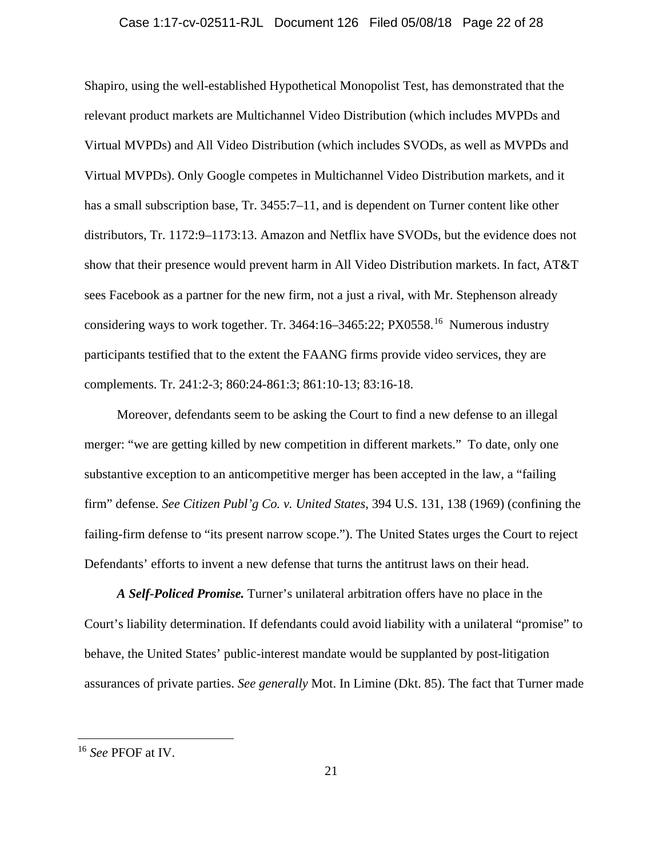### Case 1:17-cv-02511-RJL Document 126 Filed 05/08/18 Page 22 of 28

Shapiro, using the well-established Hypothetical Monopolist Test, has demonstrated that the relevant product markets are Multichannel Video Distribution (which includes MVPDs and Virtual MVPDs) and All Video Distribution (which includes SVODs, as well as MVPDs and Virtual MVPDs). Only Google competes in Multichannel Video Distribution markets, and it has a small subscription base, Tr. 3455:7–11, and is dependent on Turner content like other distributors, Tr. 1172:9–1173:13. Amazon and Netflix have SVODs, but the evidence does not show that their presence would prevent harm in All Video Distribution markets. In fact, AT&T sees Facebook as a partner for the new firm, not a just a rival, with Mr. Stephenson already considering ways to work together. Tr. 3464:16–3465:22; PX0558.16 Numerous industry participants testified that to the extent the FAANG firms provide video services, they are complements. Tr. 241:2-3; 860:24-861:3; 861:10-13; 83:16-18.

Moreover, defendants seem to be asking the Court to find a new defense to an illegal merger: "we are getting killed by new competition in different markets." To date, only one substantive exception to an anticompetitive merger has been accepted in the law, a "failing firm" defense. *See Citizen Publ'g Co. v. United States*, 394 U.S. 131, 138 (1969) (confining the failing-firm defense to "its present narrow scope."). The United States urges the Court to reject Defendants' efforts to invent a new defense that turns the antitrust laws on their head.

*A Self-Policed Promise.* Turner's unilateral arbitration offers have no place in the Court's liability determination. If defendants could avoid liability with a unilateral "promise" to behave, the United States' public-interest mandate would be supplanted by post-litigation assurances of private parties. *See generally* Mot. In Limine (Dkt. 85). The fact that Turner made

<sup>16</sup> *See* PFOF at IV.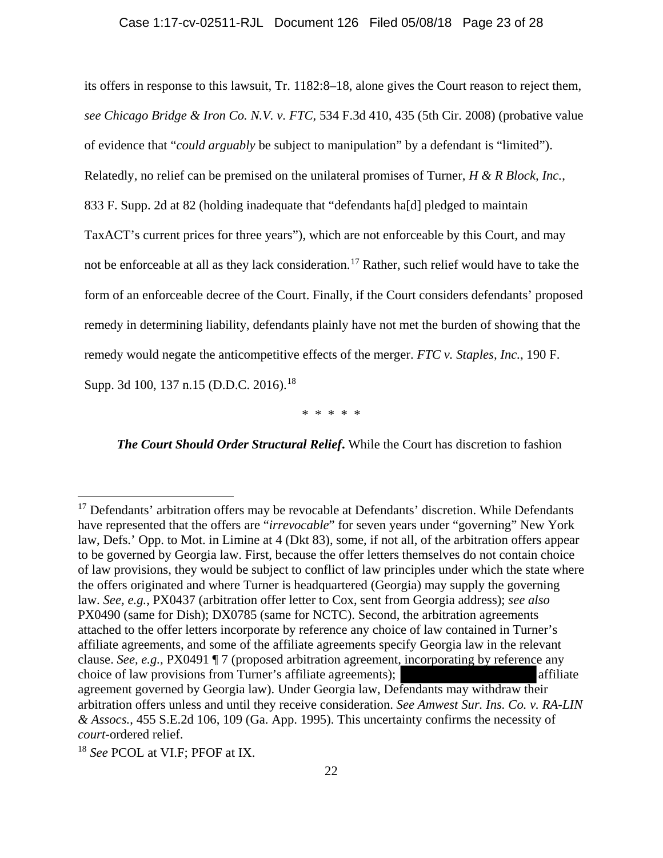its offers in response to this lawsuit, Tr. 1182:8–18, alone gives the Court reason to reject them, *see Chicago Bridge & Iron Co. N.V. v. FTC*, 534 F.3d 410, 435 (5th Cir. 2008) (probative value of evidence that "*could arguably* be subject to manipulation" by a defendant is "limited"). Relatedly, no relief can be premised on the unilateral promises of Turner, *H & R Block, Inc.*, 833 F. Supp. 2d at 82 (holding inadequate that "defendants ha[d] pledged to maintain TaxACT's current prices for three years"), which are not enforceable by this Court, and may not be enforceable at all as they lack consideration. <sup>17</sup> Rather, such relief would have to take the form of an enforceable decree of the Court. Finally, if the Court considers defendants' proposed remedy in determining liability, defendants plainly have not met the burden of showing that the remedy would negate the anticompetitive effects of the merger. *FTC v. Staples, Inc.*, 190 F. Supp. 3d 100, 137 n.15 (D.D.C. 2016).<sup>18</sup>

\* \* \* \* \*

*The Court Should Order Structural Relief***.** While the Court has discretion to fashion

<sup>&</sup>lt;sup>17</sup> Defendants' arbitration offers may be revocable at Defendants' discretion. While Defendants have represented that the offers are "*irrevocable*" for seven years under "governing" New York law, Defs.' Opp. to Mot. in Limine at 4 (Dkt 83), some, if not all, of the arbitration offers appear to be governed by Georgia law. First, because the offer letters themselves do not contain choice of law provisions, they would be subject to conflict of law principles under which the state where the offers originated and where Turner is headquartered (Georgia) may supply the governing law. *See, e.g.*, PX0437 (arbitration offer letter to Cox, sent from Georgia address); *see also* PX0490 (same for Dish); DX0785 (same for NCTC). Second, the arbitration agreements attached to the offer letters incorporate by reference any choice of law contained in Turner's affiliate agreements, and some of the affiliate agreements specify Georgia law in the relevant clause. *See, e.g.,* PX0491 ¶ 7 (proposed arbitration agreement, incorporating by reference any choice of law provisions from Turner's affiliate agreements); affiliate and affiliate agreement governed by Georgia law). Under Georgia law, Defendants may withdraw their arbitration offers unless and until they receive consideration. *See Amwest Sur. Ins. Co. v. RA-LIN & Assocs.*, 455 S.E.2d 106, 109 (Ga. App. 1995). This uncertainty confirms the necessity of *court*-ordered relief.

<sup>18</sup> *See* PCOL at VI.F; PFOF at IX.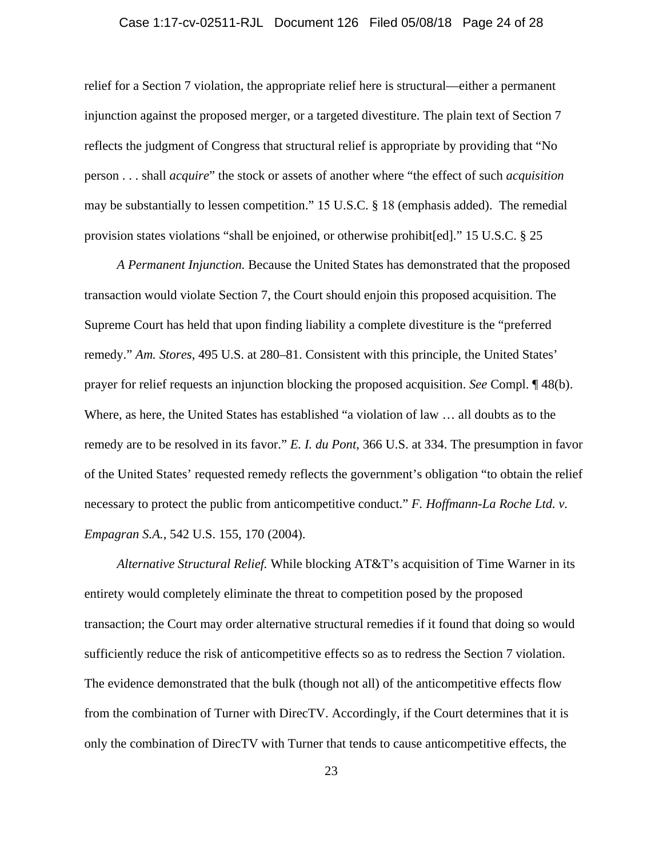## Case 1:17-cv-02511-RJL Document 126 Filed 05/08/18 Page 24 of 28

relief for a Section 7 violation, the appropriate relief here is structural—either a permanent injunction against the proposed merger, or a targeted divestiture. The plain text of Section 7 reflects the judgment of Congress that structural relief is appropriate by providing that "No person . . . shall *acquire*" the stock or assets of another where "the effect of such *acquisition* may be substantially to lessen competition." 15 U.S.C. § 18 (emphasis added). The remedial provision states violations "shall be enjoined, or otherwise prohibit[ed]." 15 U.S.C. § 25

*A Permanent Injunction.* Because the United States has demonstrated that the proposed transaction would violate Section 7, the Court should enjoin this proposed acquisition. The Supreme Court has held that upon finding liability a complete divestiture is the "preferred remedy." *Am. Stores*, 495 U.S. at 280–81. Consistent with this principle, the United States' prayer for relief requests an injunction blocking the proposed acquisition. *See* Compl. ¶ 48(b). Where, as here, the United States has established "a violation of law … all doubts as to the remedy are to be resolved in its favor." *E. I. du Pont*, 366 U.S. at 334. The presumption in favor of the United States' requested remedy reflects the government's obligation "to obtain the relief necessary to protect the public from anticompetitive conduct." *F. Hoffmann-La Roche Ltd. v. Empagran S.A.*, 542 U.S. 155, 170 (2004).

*Alternative Structural Relief.* While blocking AT&T's acquisition of Time Warner in its entirety would completely eliminate the threat to competition posed by the proposed transaction; the Court may order alternative structural remedies if it found that doing so would sufficiently reduce the risk of anticompetitive effects so as to redress the Section 7 violation. The evidence demonstrated that the bulk (though not all) of the anticompetitive effects flow from the combination of Turner with DirecTV. Accordingly, if the Court determines that it is only the combination of DirecTV with Turner that tends to cause anticompetitive effects, the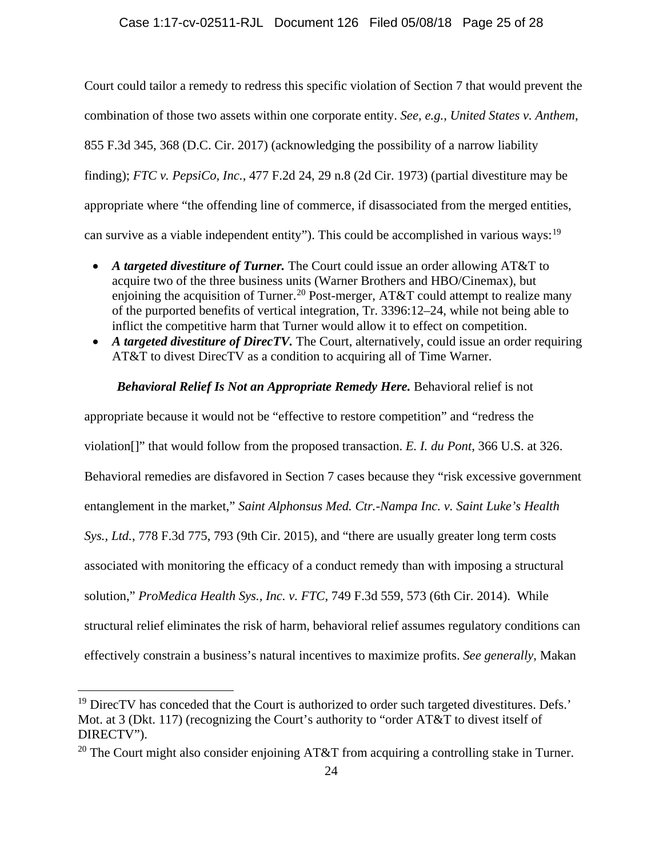Court could tailor a remedy to redress this specific violation of Section 7 that would prevent the combination of those two assets within one corporate entity. *See, e.g.*, *United States v. Anthem*, 855 F.3d 345, 368 (D.C. Cir. 2017) (acknowledging the possibility of a narrow liability finding); *FTC v. PepsiCo, Inc.*, 477 F.2d 24, 29 n.8 (2d Cir. 1973) (partial divestiture may be appropriate where "the offending line of commerce, if disassociated from the merged entities, can survive as a viable independent entity"). This could be accomplished in various ways:<sup>19</sup>

- *A targeted divestiture of Turner.* The Court could issue an order allowing AT&T to acquire two of the three business units (Warner Brothers and HBO/Cinemax), but enjoining the acquisition of Turner.<sup>20</sup> Post-merger, AT&T could attempt to realize many of the purported benefits of vertical integration, Tr. 3396:12–24, while not being able to inflict the competitive harm that Turner would allow it to effect on competition.
- A targeted divestiture of DirecTV. The Court, alternatively, could issue an order requiring AT&T to divest DirecTV as a condition to acquiring all of Time Warner.

### *Behavioral Relief Is Not an Appropriate Remedy Here.* Behavioral relief is not

appropriate because it would not be "effective to restore competition" and "redress the violation[]" that would follow from the proposed transaction. *E. I. du Pont*, 366 U.S. at 326. Behavioral remedies are disfavored in Section 7 cases because they "risk excessive government entanglement in the market," *Saint Alphonsus Med. Ctr.-Nampa Inc. v. Saint Luke's Health Sys., Ltd.*, 778 F.3d 775, 793 (9th Cir. 2015), and "there are usually greater long term costs associated with monitoring the efficacy of a conduct remedy than with imposing a structural solution," *ProMedica Health Sys., Inc. v. FTC*, 749 F.3d 559, 573 (6th Cir. 2014). While structural relief eliminates the risk of harm, behavioral relief assumes regulatory conditions can effectively constrain a business's natural incentives to maximize profits. *See generally*, Makan

 $19$  DirecTV has conceded that the Court is authorized to order such targeted divestitures. Defs.' Mot. at 3 (Dkt. 117) (recognizing the Court's authority to "order AT&T to divest itself of DIRECTV").

<sup>&</sup>lt;sup>20</sup> The Court might also consider enjoining AT&T from acquiring a controlling stake in Turner.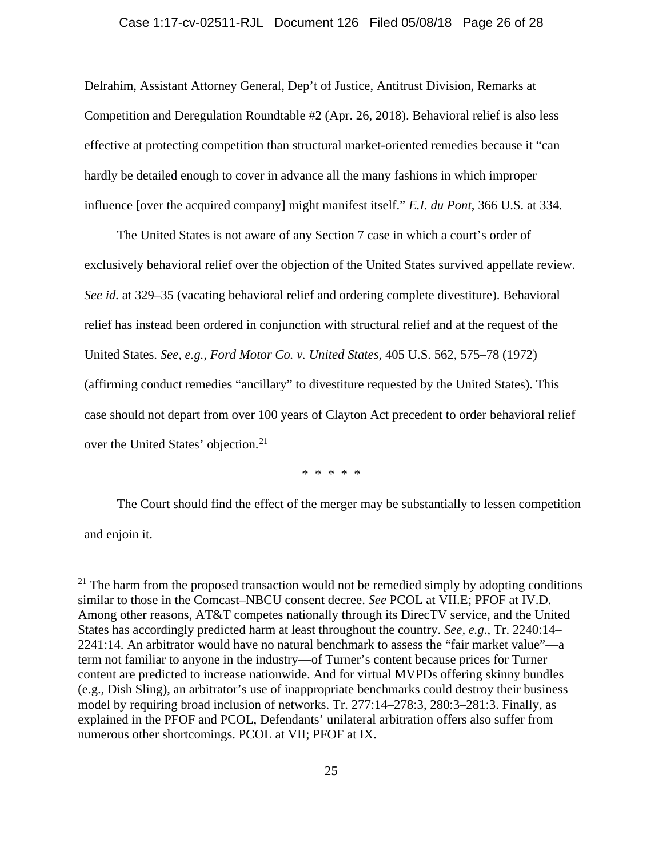#### Case 1:17-cv-02511-RJL Document 126 Filed 05/08/18 Page 26 of 28

Delrahim, Assistant Attorney General, Dep't of Justice, Antitrust Division, Remarks at Competition and Deregulation Roundtable #2 (Apr. 26, 2018). Behavioral relief is also less effective at protecting competition than structural market-oriented remedies because it "can hardly be detailed enough to cover in advance all the many fashions in which improper influence [over the acquired company] might manifest itself." *E.I. du Pont*, 366 U.S. at 334*.*

The United States is not aware of any Section 7 case in which a court's order of exclusively behavioral relief over the objection of the United States survived appellate review. *See id.* at 329–35 (vacating behavioral relief and ordering complete divestiture). Behavioral relief has instead been ordered in conjunction with structural relief and at the request of the United States. *See, e.g.*, *Ford Motor Co. v. United States*, 405 U.S. 562, 575–78 (1972) (affirming conduct remedies "ancillary" to divestiture requested by the United States). This case should not depart from over 100 years of Clayton Act precedent to order behavioral relief over the United States' objection.<sup>21</sup>

\* \* \* \* \*

The Court should find the effect of the merger may be substantially to lessen competition and enjoin it.

 $21$  The harm from the proposed transaction would not be remedied simply by adopting conditions similar to those in the Comcast–NBCU consent decree. *See* PCOL at VII.E; PFOF at IV.D. Among other reasons, AT&T competes nationally through its DirecTV service, and the United States has accordingly predicted harm at least throughout the country. *See, e.g.*, Tr. 2240:14– 2241:14. An arbitrator would have no natural benchmark to assess the "fair market value"—a term not familiar to anyone in the industry—of Turner's content because prices for Turner content are predicted to increase nationwide. And for virtual MVPDs offering skinny bundles (e.g., Dish Sling), an arbitrator's use of inappropriate benchmarks could destroy their business model by requiring broad inclusion of networks. Tr. 277:14–278:3, 280:3–281:3. Finally, as explained in the PFOF and PCOL, Defendants' unilateral arbitration offers also suffer from numerous other shortcomings. PCOL at VII; PFOF at IX.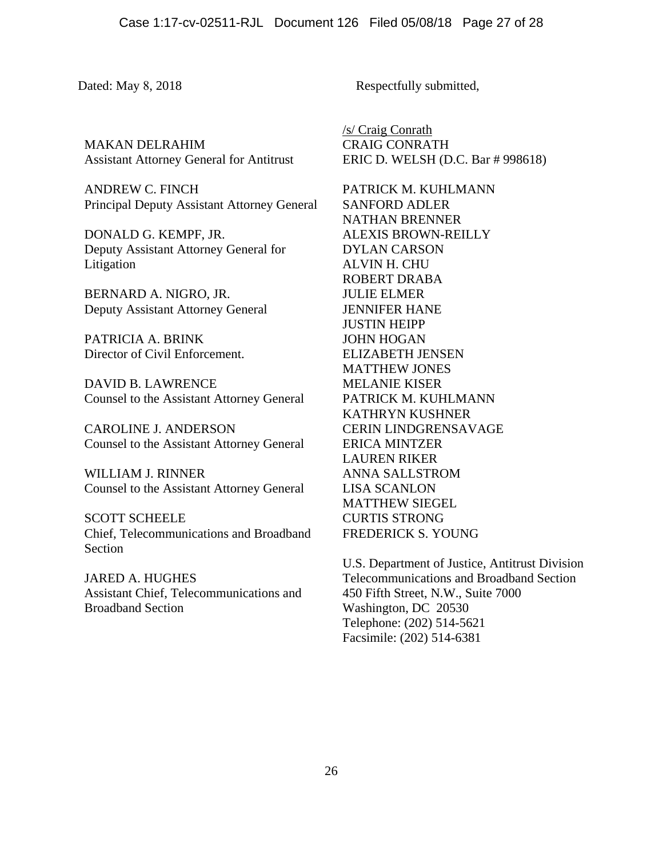MAKAN DELRAHIM Assistant Attorney General for Antitrust

ANDREW C. FINCH Principal Deputy Assistant Attorney General

DONALD G. KEMPF, JR. Deputy Assistant Attorney General for Litigation

BERNARD A. NIGRO, JR. Deputy Assistant Attorney General

PATRICIA A. BRINK Director of Civil Enforcement.

DAVID B. LAWRENCE Counsel to the Assistant Attorney General

CAROLINE J. ANDERSON Counsel to the Assistant Attorney General

WILLIAM J. RINNER Counsel to the Assistant Attorney General

SCOTT SCHEELE Chief, Telecommunications and Broadband Section

JARED A. HUGHES Assistant Chief, Telecommunications and Broadband Section

Dated: May 8, 2018 Respectfully submitted,

/s/ Craig Conrath CRAIG CONRATH ERIC D. WELSH (D.C. Bar # 998618)

PATRICK M. KUHLMANN SANFORD ADLER NATHAN BRENNER ALEXIS BROWN-REILLY DYLAN CARSON ALVIN H. CHU ROBERT DRABA JULIE ELMER JENNIFER HANE JUSTIN HEIPP JOHN HOGAN ELIZABETH JENSEN MATTHEW JONES MELANIE KISER PATRICK M. KUHLMANN KATHRYN KUSHNER CERIN LINDGRENSAVAGE ERICA MINTZER LAUREN RIKER ANNA SALLSTROM LISA SCANLON MATTHEW SIEGEL CURTIS STRONG FREDERICK S. YOUNG

U.S. Department of Justice, Antitrust Division Telecommunications and Broadband Section 450 Fifth Street, N.W., Suite 7000 Washington, DC 20530 Telephone: (202) 514-5621 Facsimile: (202) 514-6381